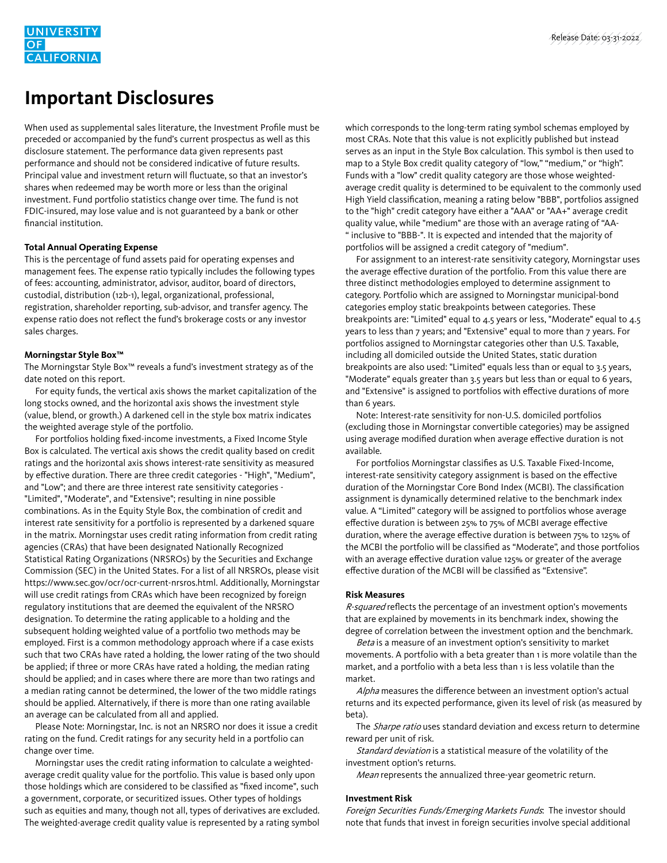# **Important Disclosures**

When used as supplemental sales literature, the Investment Profile must be preceded or accompanied by the fund's current prospectus as well as this disclosure statement. The performance data given represents past performance and should not be considered indicative of future results. Principal value and investment return will fluctuate, so that an investor's shares when redeemed may be worth more or less than the original investment. Fund portfolio statistics change over time. The fund is not FDIC-insured, may lose value and is not guaranteed by a bank or other financial institution.

### **Total Annual Operating Expense**

This is the percentage of fund assets paid for operating expenses and management fees. The expense ratio typically includes the following types of fees: accounting, administrator, advisor, auditor, board of directors, custodial, distribution (12b-1), legal, organizational, professional, registration, shareholder reporting, sub-advisor, and transfer agency. The expense ratio does not reflect the fund's brokerage costs or any investor sales charges.

## **Morningstar Style Box™**

The Morningstar Style Box™ reveals a fund's investment strategy as of the date noted on this report.

 For equity funds, the vertical axis shows the market capitalization of the long stocks owned, and the horizontal axis shows the investment style (value, blend, or growth.) A darkened cell in the style box matrix indicates the weighted average style of the portfolio.

 For portfolios holding fixed-income investments, a Fixed Income Style Box is calculated. The vertical axis shows the credit quality based on credit ratings and the horizontal axis shows interest-rate sensitivity as measured by effective duration. There are three credit categories - "High", "Medium", and "Low"; and there are three interest rate sensitivity categories - "Limited", "Moderate", and "Extensive"; resulting in nine possible combinations. As in the Equity Style Box, the combination of credit and interest rate sensitivity for a portfolio is represented by a darkened square in the matrix. Morningstar uses credit rating information from credit rating agencies (CRAs) that have been designated Nationally Recognized Statistical Rating Organizations (NRSROs) by the Securities and Exchange Commission (SEC) in the United States. For a list of all NRSROs, please visit https://www.sec.gov/ocr/ocr-current-nrsros.html. Additionally, Morningstar will use credit ratings from CRAs which have been recognized by foreign regulatory institutions that are deemed the equivalent of the NRSRO designation. To determine the rating applicable to a holding and the subsequent holding weighted value of a portfolio two methods may be employed. First is a common methodology approach where if a case exists such that two CRAs have rated a holding, the lower rating of the two should be applied; if three or more CRAs have rated a holding, the median rating should be applied; and in cases where there are more than two ratings and a median rating cannot be determined, the lower of the two middle ratings should be applied. Alternatively, if there is more than one rating available an average can be calculated from all and applied.

 Please Note: Morningstar, Inc. is not an NRSRO nor does it issue a credit rating on the fund. Credit ratings for any security held in a portfolio can change over time.

 Morningstar uses the credit rating information to calculate a weightedaverage credit quality value for the portfolio. This value is based only upon those holdings which are considered to be classified as "fixed income", such a government, corporate, or securitized issues. Other types of holdings such as equities and many, though not all, types of derivatives are excluded. The weighted-average credit quality value is represented by a rating symbol which corresponds to the long-term rating symbol schemas employed by most CRAs. Note that this value is not explicitly published but instead serves as an input in the Style Box calculation. This symbol is then used to map to a Style Box credit quality category of "low," "medium," or "high". Funds with a "low" credit quality category are those whose weightedaverage credit quality is determined to be equivalent to the commonly used High Yield classification, meaning a rating below "BBB", portfolios assigned to the "high" credit category have either a "AAA" or "AA+" average credit quality value, while "medium" are those with an average rating of "AA- " inclusive to "BBB-". It is expected and intended that the majority of portfolios will be assigned a credit category of "medium".

 For assignment to an interest-rate sensitivity category, Morningstar uses the average effective duration of the portfolio. From this value there are three distinct methodologies employed to determine assignment to category. Portfolio which are assigned to Morningstar municipal-bond categories employ static breakpoints between categories. These breakpoints are: "Limited" equal to 4.5 years or less, "Moderate" equal to 4.5 years to less than 7 years; and "Extensive" equal to more than 7 years. For portfolios assigned to Morningstar categories other than U.S. Taxable, including all domiciled outside the United States, static duration breakpoints are also used: "Limited" equals less than or equal to 3.5 years, "Moderate" equals greater than 3.5 years but less than or equal to 6 years, and "Extensive" is assigned to portfolios with effective durations of more than 6 years.

 Note: Interest-rate sensitivity for non-U.S. domiciled portfolios (excluding those in Morningstar convertible categories) may be assigned using average modified duration when average effective duration is not available.

 For portfolios Morningstar classifies as U.S. Taxable Fixed-Income, interest-rate sensitivity category assignment is based on the effective duration of the Morningstar Core Bond Index (MCBI). The classification assignment is dynamically determined relative to the benchmark index value. A "Limited" category will be assigned to portfolios whose average effective duration is between 25% to 75% of MCBI average effective duration, where the average effective duration is between 75% to 125% of the MCBI the portfolio will be classified as "Moderate", and those portfolios with an average effective duration value 125% or greater of the average effective duration of the MCBI will be classified as "Extensive".

#### **Risk Measures**

R-squared reflects the percentage of an investment option's movements that are explained by movements in its benchmark index, showing the degree of correlation between the investment option and the benchmark.

Beta is a measure of an investment option's sensitivity to market movements. A portfolio with a beta greater than 1 is more volatile than the market, and a portfolio with a beta less than 1 is less volatile than the market.

Alpha measures the difference between an investment option's actual returns and its expected performance, given its level of risk (as measured by beta).

The *Sharpe ratio* uses standard deviation and excess return to determine reward per unit of risk.

Standard deviation is a statistical measure of the volatility of the investment option's returns.

Mean represents the annualized three-year geometric return.

## **Investment Risk**

Foreign Securities Funds/Emerging Markets Funds: The investor should note that funds that invest in foreign securities involve special additional